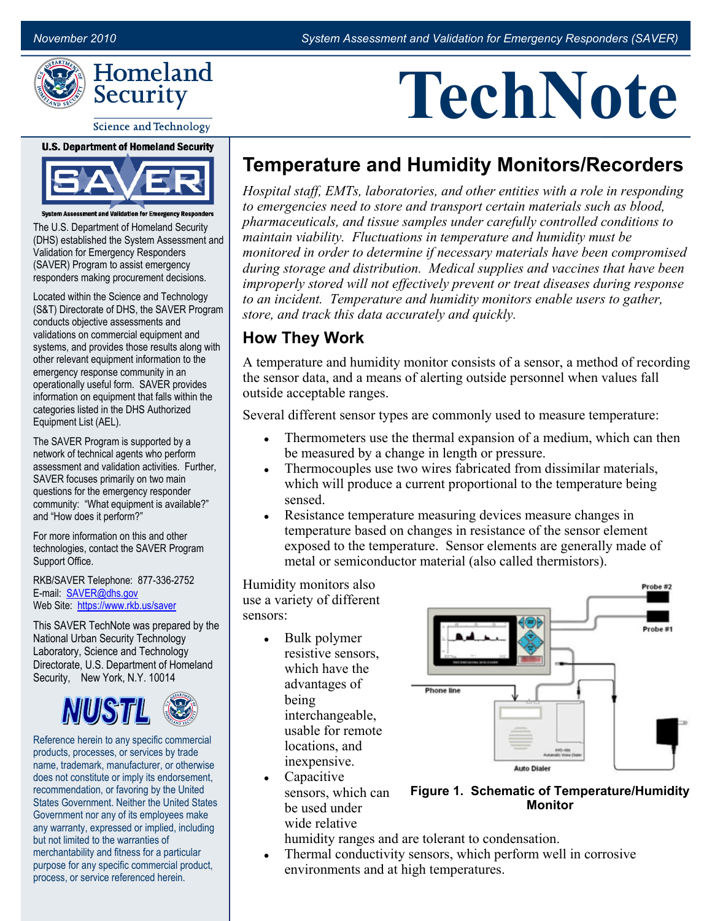**TechNote**



#### Science and Technology



nt and Validation for Emergency Responders The U.S. Department of Homeland Security (DHS) established the System Assessment and Validation for Emergency Responders (SAVER) Program to assist emergency responders making procurement decisions.

Located within the Science and Technology (S&T) Directorate of DHS, the SAVER Program conducts objective assessments and validations on commercial equipment and systems, and provides those results along with other relevant equipment information to the emergency response community in an operationally useful form. SAVER provides information on equipment that falls within the categories listed in the DHS Authorized Equipment List (AEL).

The SAVER Program is supported by a network of technical agents who perform assessment and validation activities. Further, SAVER focuses primarily on two main questions for the emergency responder community: "What equipment is available?" and "How does it perform?"

For more information on this and other technologies, contact the SAVER Program Support Office.

RKB/SAVER Telephone: 877-336-2752 E-mail: SAVER@dhs.gov Web Site: https://www.rkb.us/saver

 Security, New York, N.Y. 10014 This SAVER TechNote was prepared by the National Urban Security Technology Laboratory, Science and Technology Directorate, U.S. Department of Homeland



Reference herein to any specific commercial products, processes, or services by trade name, trademark, manufacturer, or otherwise does not constitute or imply its endorsement, recommendation, or favoring by the United States Government. Neither the United States Government nor any of its employees make any warranty, expressed or implied, including but not limited to the warranties of merchantability and fitness for a particular purpose for any specific commercial product, process, or service referenced herein.

# **Temperature and Humidity Monitors/Recorders**

*Hospital staff, EMTs, laboratories, and other entities with a role in responding to emergencies need to store and transport certain materials such as blood, pharmaceuticals, and tissue samples under carefully controlled conditions to maintain viability. Fluctuations in temperature and humidity must be monitored in order to determine if necessary materials have been compromised during storage and distribution. Medical supplies and vaccines that have been improperly stored will not effectively prevent or treat diseases during response to an incident. Temperature and humidity monitors enable users to gather, store, and track this data accurately and quickly.* 

#### **How They Work**

A temperature and humidity monitor consists of a sensor, a method of recording the sensor data, and a means of alerting outside personnel when values fall outside acceptable ranges.

Several different sensor types are commonly used to measure temperature:

- Thermometers use the thermal expansion of a medium, which can then be measured by a change in length or pressure.
- Thermocouples use two wires fabricated from dissimilar materials, which will produce a current proportional to the temperature being sensed.
- Resistance temperature measuring devices measure changes in temperature based on changes in resistance of the sensor element exposed to the temperature. Sensor elements are generally made of metal or semiconductor material (also called thermistors).

Humidity monitors also use a variety of different sensors:

- Bulk polymer resistive sensors, which have the advantages of being interchangeable, usable for remote locations, and inexpensive.
- Capacitive sensors, which can be used under wide relative



- **Figure 1. Schematic of Temperature/Humidity Monitor**
- humidity ranges and are tolerant to condensation.
- Thermal conductivity sensors, which perform well in corrosive environments and at high temperatures.